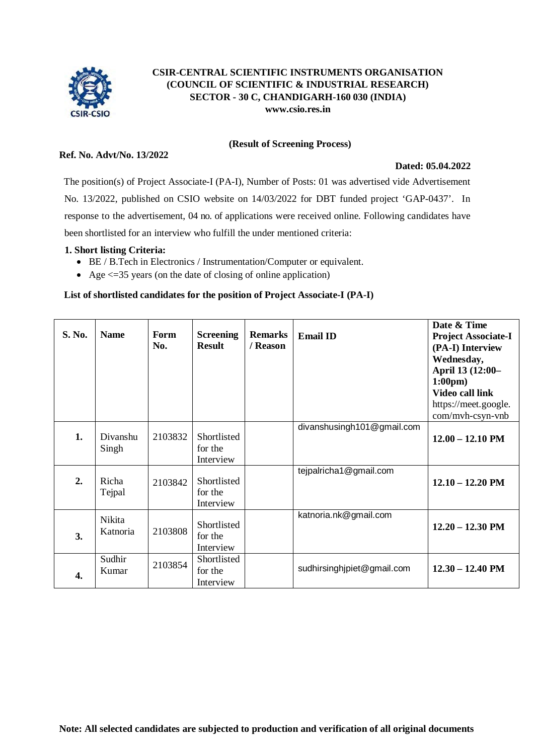

# **CSIR-CENTRAL SCIENTIFIC INSTRUMENTS ORGANISATION (COUNCIL OF SCIENTIFIC & INDUSTRIAL RESEARCH) SECTOR - 30 C, CHANDIGARH-160 030 (INDIA) [www.csio.res.in](http://www.csio.res.in/)**

#### **(Result of Screening Process)**

## **Ref. No. Advt/No. 13/2022**

#### **Dated: 05.04.2022**

The position(s) of Project Associate-I (PA-I), Number of Posts: 01 was advertised vide Advertisement No. 13/2022, published on CSIO website on 14/03/2022 for DBT funded project 'GAP-0437'. In response to the advertisement, 04 no. of applications were received online. Following candidates have been shortlisted for an interview who fulfill the under mentioned criteria:

#### **1. Short listing Criteria:**

- BE / B.Tech in Electronics / Instrumentation/Computer or equivalent.
- Age  $\leq$  =35 years (on the date of closing of online application)

## **List of shortlisted candidates for the position of Project Associate-I (PA-I)**

| S. No. | <b>Name</b>        | <b>Form</b><br>No. | <b>Screening</b><br><b>Result</b>   | <b>Remarks</b><br>/ Reason | <b>Email ID</b>            | Date & Time<br><b>Project Associate-I</b><br>(PA-I) Interview<br>Wednesday,<br>April 13 (12:00-<br>$1:00 \text{pm}$<br><b>Video call link</b><br>https://meet.google.<br>com/mvh-csyn-vnb |
|--------|--------------------|--------------------|-------------------------------------|----------------------------|----------------------------|-------------------------------------------------------------------------------------------------------------------------------------------------------------------------------------------|
| 1.     | Divanshu<br>Singh  | 2103832            | Shortlisted<br>for the<br>Interview |                            | divanshusingh101@gmail.com | $12.00 - 12.10$ PM                                                                                                                                                                        |
| 2.     | Richa<br>Tejpal    | 2103842            | Shortlisted<br>for the<br>Interview |                            | tejpalricha1@gmail.com     | $12.10 - 12.20$ PM                                                                                                                                                                        |
| 3.     | Nikita<br>Katnoria | 2103808            | Shortlisted<br>for the<br>Interview |                            | katnoria.nk@gmail.com      | $12.20 - 12.30$ PM                                                                                                                                                                        |
| 4.     | Sudhir<br>Kumar    | 2103854            | Shortlisted<br>for the<br>Interview |                            | sudhirsinghjpiet@gmail.com | $12.30 - 12.40$ PM                                                                                                                                                                        |